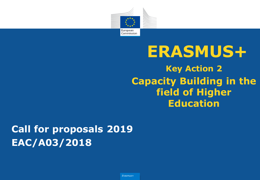

# **Key Action 2 Capacity Building in the field of Higher Education ERASMUS+**

# **Call for proposals 2019 EAC/A03/2018**

*Erasmus+*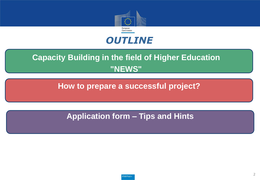



### **Capacity Building in the field of Higher Education "NEWS"**

**How to prepare a successful project?**

**Application form – Tips and Hints**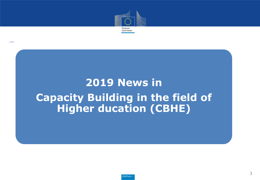

# **2019 News in Capacity Building in the field of Higher ducation (CBHE)**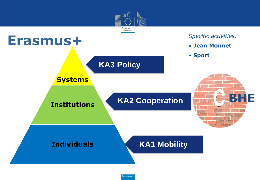

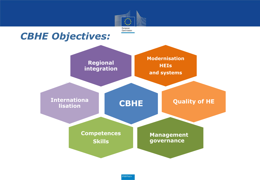

### *CBHE Objectives:*

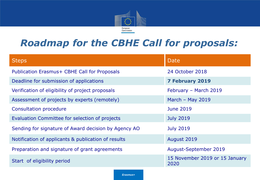

### *Roadmap for the CBHE Call for proposals:*

| <b>Steps</b>                                         | Date                                   |
|------------------------------------------------------|----------------------------------------|
| Publication Erasmus+ CBHE Call for Proposals         | 24 October 2018                        |
| Deadline for submission of applications              | <b>7 February 2019</b>                 |
| Verification of eligibility of project proposals     | February - March 2019                  |
| Assessment of projects by experts (remotely)         | March $-$ May 2019                     |
| <b>Consultation procedure</b>                        | <b>June 2019</b>                       |
| Evaluation Committee for selection of projects       | <b>July 2019</b>                       |
| Sending for signature of Award decision by Agency AO | <b>July 2019</b>                       |
| Notification of applicants & publication of results  | August 2019                            |
| Preparation and signature of grant agreements        | <b>August-September 2019</b>           |
| Start of eligibility period                          | 15 November 2019 or 15 January<br>2020 |

*Erasmus+*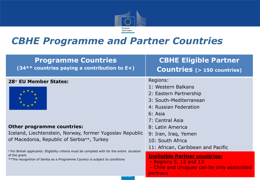

### *CBHE Programme and Partner Countries*

| <b>Programme Countries</b><br>$(34**$ countries paying a contribution to E+)                                                                                                                  | <b>CBHE Eligible Partner</b><br><b>Countries</b> (> 150 countries)                                               |
|-----------------------------------------------------------------------------------------------------------------------------------------------------------------------------------------------|------------------------------------------------------------------------------------------------------------------|
| 28* EU Member States:                                                                                                                                                                         | Regions:                                                                                                         |
|                                                                                                                                                                                               | 1: Western Balkans                                                                                               |
|                                                                                                                                                                                               | 2: Eastern Partnership                                                                                           |
|                                                                                                                                                                                               | 3: South-Mediterranean                                                                                           |
|                                                                                                                                                                                               | 4: Russian Federation                                                                                            |
|                                                                                                                                                                                               | 6: Asia                                                                                                          |
|                                                                                                                                                                                               | 7: Central Asia                                                                                                  |
| <b>Other programme countries:</b>                                                                                                                                                             | 8: Latin America                                                                                                 |
| Iceland, Liechtenstein, Norway, former Yugoslav Republic                                                                                                                                      | 9: Iran, Iraq, Yemen                                                                                             |
| of Macedonia, Republic of Serbia**, Turkey                                                                                                                                                    | 10: South Africa                                                                                                 |
| * For British applicants: Eligibility criteria must be complied with for the entire duration<br>of the grant.<br>** The recognition of Serbia as a Programme Country is subject to conditions | 11: African, Caribbean and Pacific                                                                               |
|                                                                                                                                                                                               | <b>Ineligible Partner countries:</b><br>- Regions $5, 12$ and $13$<br>- Chile and Uruguay can be only associated |

partners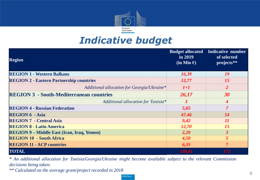

### *Indicative budget*

| <b>Region</b>                                     | $\overline{\ln 2019}$<br>$(in Mio \tisin )$ | <b>Budget allocated Indicative number</b><br>of selected<br>projects** |
|---------------------------------------------------|---------------------------------------------|------------------------------------------------------------------------|
| <b>REGION 1 - Western Balkans</b>                 | 16,39                                       | 19                                                                     |
| <b>REGION 2 - Eastern Partnership countries</b>   | <i>12,77</i>                                | 15                                                                     |
| Additional allocation for Georgia/Ukraine*        | $1+1$                                       |                                                                        |
| <b>REGION 3 - South-Mediterranean countries</b>   | 26,17                                       | 30                                                                     |
| Additional allocation for Tunisia*                |                                             |                                                                        |
| <b>REGION 4 - Russian Federation</b>              | 5,85                                        |                                                                        |
| <b>REGION 6 - Asia</b>                            | 47,46                                       | 54                                                                     |
| <b>REGION 7 - Central Asia</b>                    | 9,42                                        |                                                                        |
| <b>REGION 8 - Latin America</b>                   | <b>12,70</b>                                |                                                                        |
| <b>REGION 9 - Middle East (Iran, Iraq, Yemen)</b> | 2,20                                        |                                                                        |
| <b>REGION 10 - South Africa</b>                   | 4,50                                        |                                                                        |
| <b>REGION 11 - ACP countries</b>                  | 6,35                                        |                                                                        |
| <b>TOTAL</b>                                      | 148,81                                      | 172                                                                    |

*\* An additional allocation for Tunisia/Georgia/Ukraine might become available subject to the relevant Commission decisions being taken.*

*\*\* Calculated on the average grant/project recorded in 2018*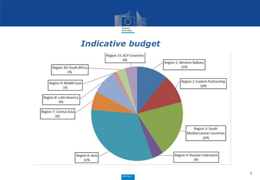

### *Indicative budget*

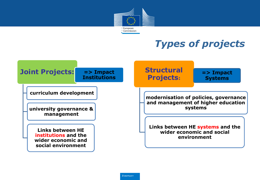

## *Types of projects*

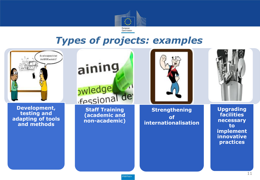

### *Types of projects: examples*

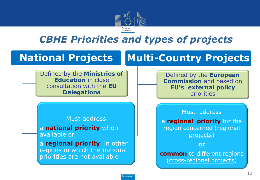

## *CBHE Priorities and types of projects*

## **National Projects**

Defined by the **Ministries of Education** in close consultation with the **EU Delegations** 

#### Must address

a **national priority** when available or

a **regional priority** in other regions in which the national priorities are not available

# **Multi-Country Projects**

Defined by the **European Commission** and based on **EU's external policy**  priorities

#### Must address

a **regional priority** for the region concerned (regional projects)

#### **or**

**common** to different regions (cross-regional projects)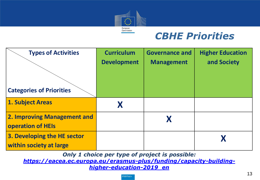

## *CBHE Priorities*

| <b>Types of Activities</b>      | <b>Curriculum</b>  | <b>Governance and</b> | <b>Higher Education</b> |
|---------------------------------|--------------------|-----------------------|-------------------------|
|                                 | <b>Development</b> | <b>Management</b>     | and Society             |
|                                 |                    |                       |                         |
| <b>Categories of Priorities</b> |                    |                       |                         |
| <b>1. Subject Areas</b>         |                    |                       |                         |
| 2. Improving Management and     |                    |                       |                         |
| <b>operation of HEIs</b>        |                    |                       |                         |
| 3. Developing the HE sector     |                    |                       |                         |
| within society at large         |                    |                       |                         |

*Only 1 choice per type of project is possible:*

*[https://eacea.ec.europa.eu/erasmus-plus/funding/capacity-building](https://eacea.ec.europa.eu/erasmus-plus/funding/capacity-building-higher-education-2019_en)[higher-education-2019\\_en](https://eacea.ec.europa.eu/erasmus-plus/funding/capacity-building-higher-education-2019_en)*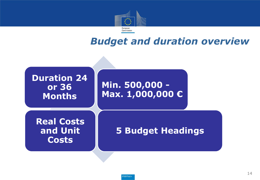

### *Budget and duration overview*

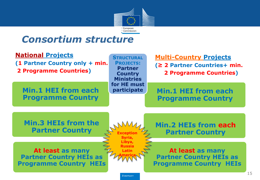

### *Consortium structure*

| <b>National Projects</b><br>(1 Partner Country only + min.<br><b>2 Programme Countries)</b> | <b>STRUCTURAL</b><br><b>PROJECTS:</b><br><b>Partner</b><br><b>Country</b><br><b>Ministries</b> | <b>Multi-Country Projects</b><br>(≥ 2 Partner Countries+ min.<br><b>2 Programme Countries)</b> |
|---------------------------------------------------------------------------------------------|------------------------------------------------------------------------------------------------|------------------------------------------------------------------------------------------------|
| <b>Min.1 HEI from each</b><br><b>Programme Country</b>                                      | for HE must<br>participate                                                                     | <b>Min.1 HEI from each</b><br><b>Programme Country</b>                                         |
| <b>Min.3 HEIs from the</b><br><b>Partner Country</b>                                        | <b>Exceptior</b>                                                                               | Min.2 HEIs from each<br><b>Partner Country</b>                                                 |
| At least as many<br><b>Partner Country HEIs as</b><br><b>Programme Country HEIs</b>         | Russia<br>Latin                                                                                | At least as many<br><b>Partner Country HEIs as</b><br><b>Programme Country HEIs</b>            |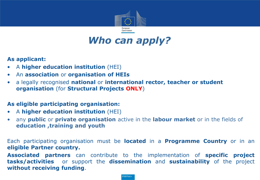

### *Who can apply?*

#### **As applicant:**

- A **higher education institution** (HEI)
- An **association** or **organisation of HEIs**
- a legally recognised **national** or **international rector, teacher or student organisation** (for **Structural Projects ONLY**)

#### **As eligible participating organisation:**

- A **higher education institution** (HEI)
- any **public** or **private organisation** active in the **labour market** or in the fields of **education ,training and youth**

Each participating organisation must be **located** in a **Programme Country** or in an **eligible Partner country.**

**Associated partners** can contribute to the implementation of **specific project tasks/activities** or support the **dissemination** and **sustainability** of the project **without receiving funding**.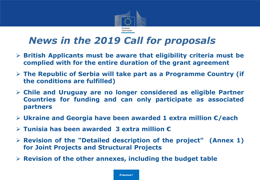

## *News in the 2019 Call for proposals*

- **British Applicants must be aware that eligibility criteria must be complied with for the entire duration of the grant agreement**
- **The Republic of Serbia will take part as a Programme Country (if the conditions are fulfilled)**
- **Chile and Uruguay are no longer considered as eligible Partner Countries for funding and can only participate as associated partners**
- **Ukraine and Georgia have been awarded 1 extra million €/each**
- **Tunisia has been awarded 3 extra million €**
- **Revision of the "Detailed description of the project" (Annex 1) for Joint Projects and Structural Projects**
- **Revision of the other annexes, including the budget table**

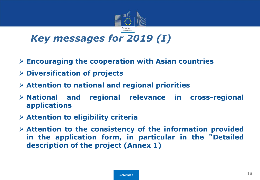

- **Encouraging the cooperation with Asian countries**
- **Diversification of projects**
- **Attention to national and regional priorities**
- **National and regional relevance in cross-regional applications**
- **Attention to eligibility criteria**
- **Attention to the consistency of the information provided in the application form, in particular in the "Detailed description of the project (Annex 1)**